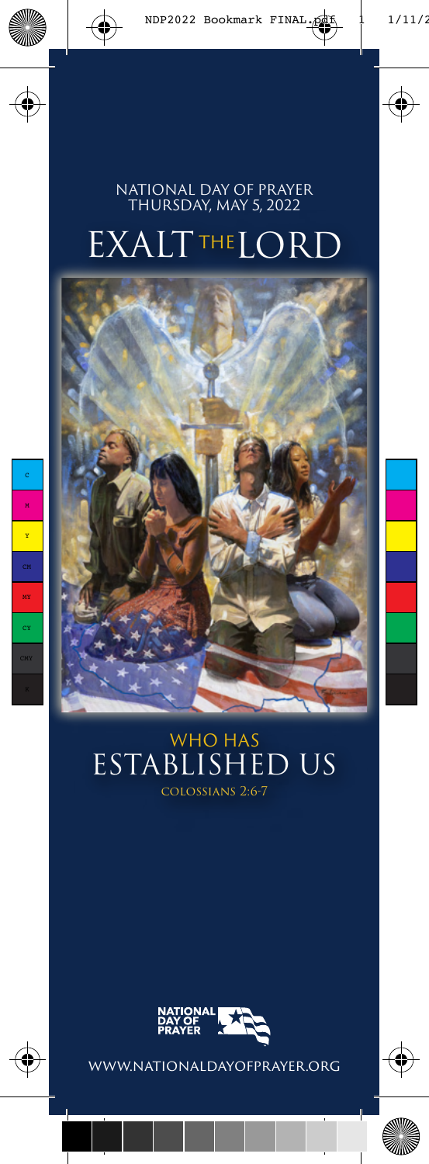# **EXALTTHELORD** NATIONAL DAY OF PRAYER THURSDAY, MAY 5, 2022



# WHO HAS ESTABLISHED US colossians 2:6-7



www.nationaldayofprayer.org